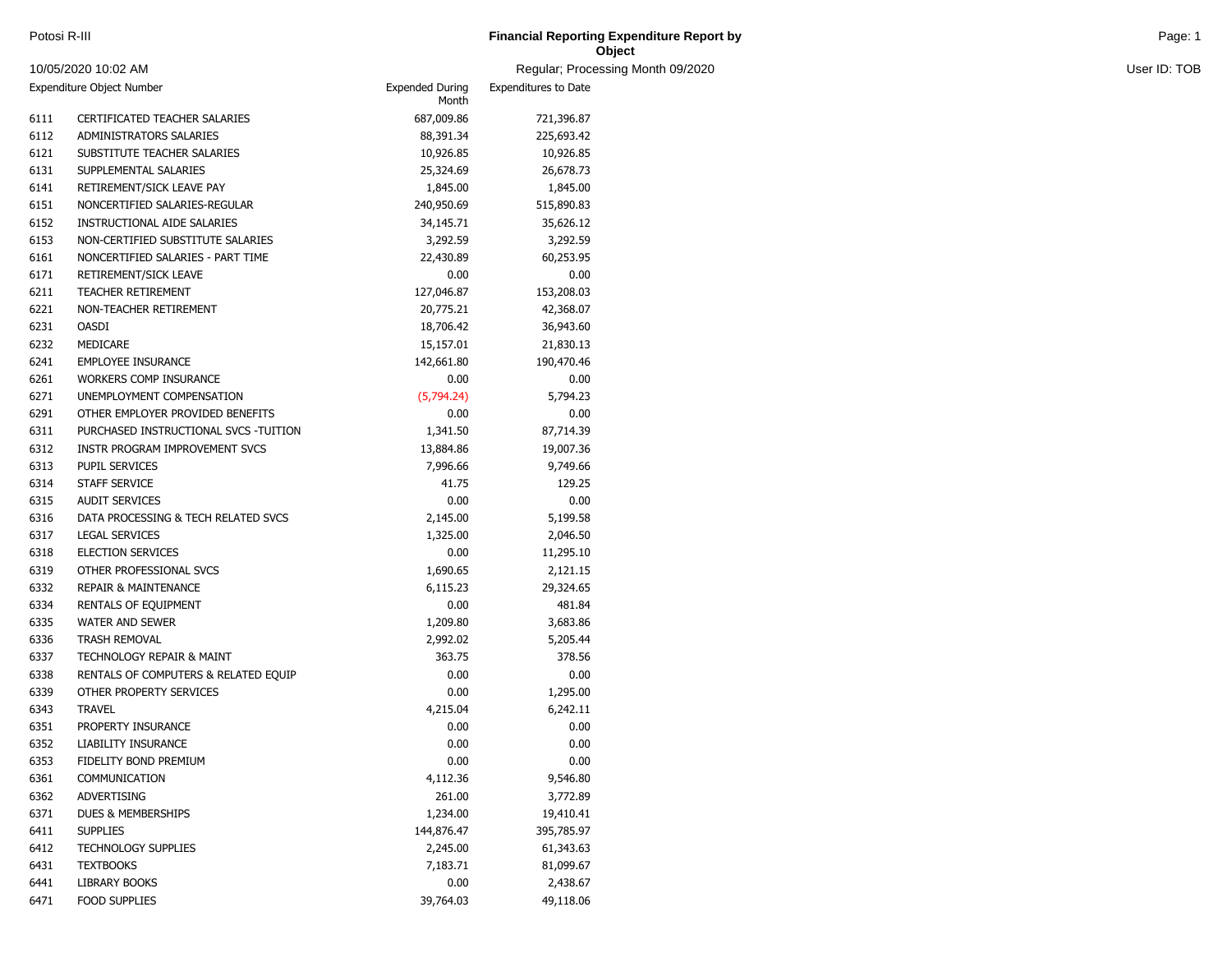| Potosi R-III | <b>Financial Reporting Expenditure Report by</b><br>and the contract of the contract of the contract of the contract of the contract of the contract of the contract of | Page: |
|--------------|-------------------------------------------------------------------------------------------------------------------------------------------------------------------------|-------|
|              | Object                                                                                                                                                                  |       |

| 10/05/2020 10:02 AM |                                       |                                 | Regular; Processing Month 09/2020 |  | User ID: TOB |  |
|---------------------|---------------------------------------|---------------------------------|-----------------------------------|--|--------------|--|
|                     | Expenditure Object Number             | <b>Expended During</b><br>Month | <b>Expenditures to Date</b>       |  |              |  |
| 6111                | CERTIFICATED TEACHER SALARIES         | 687,009.86                      | 721,396.87                        |  |              |  |
| 6112                | ADMINISTRATORS SALARIES               | 88,391.34                       | 225,693.42                        |  |              |  |
| 6121                | SUBSTITUTE TEACHER SALARIES           | 10,926.85                       | 10,926.85                         |  |              |  |
| 6131                | SUPPLEMENTAL SALARIES                 | 25,324.69                       | 26,678.73                         |  |              |  |
| 6141                | RETIREMENT/SICK LEAVE PAY             | 1,845.00                        | 1,845.00                          |  |              |  |
| 6151                | NONCERTIFIED SALARIES-REGULAR         | 240,950.69                      | 515,890.83                        |  |              |  |
| 6152                | INSTRUCTIONAL AIDE SALARIES           | 34,145.71                       | 35,626.12                         |  |              |  |
| 6153                | NON-CERTIFIED SUBSTITUTE SALARIES     | 3,292.59                        | 3,292.59                          |  |              |  |
| 6161                | NONCERTIFIED SALARIES - PART TIME     | 22,430.89                       | 60,253.95                         |  |              |  |
| 6171                | RETIREMENT/SICK LEAVE                 | 0.00                            | 0.00                              |  |              |  |
| 6211                | TEACHER RETIREMENT                    | 127,046.87                      | 153,208.03                        |  |              |  |
| 6221                | NON-TEACHER RETIREMENT                | 20,775.21                       | 42,368.07                         |  |              |  |
| 6231                | <b>OASDI</b>                          | 18,706.42                       | 36,943.60                         |  |              |  |
| 6232                | MEDICARE                              | 15,157.01                       | 21,830.13                         |  |              |  |
| 6241                | <b>EMPLOYEE INSURANCE</b>             | 142,661.80                      | 190,470.46                        |  |              |  |
| 6261                | WORKERS COMP INSURANCE                | 0.00                            | 0.00                              |  |              |  |
| 6271                | UNEMPLOYMENT COMPENSATION             | (5,794.24)                      | 5,794.23                          |  |              |  |
| 6291                | OTHER EMPLOYER PROVIDED BENEFITS      | 0.00                            | 0.00                              |  |              |  |
| 6311                | PURCHASED INSTRUCTIONAL SVCS -TUITION | 1,341.50                        | 87,714.39                         |  |              |  |
| 6312                | INSTR PROGRAM IMPROVEMENT SVCS        | 13,884.86                       | 19,007.36                         |  |              |  |
| 6313                | PUPIL SERVICES                        | 7,996.66                        | 9,749.66                          |  |              |  |
| 6314                | STAFF SERVICE                         | 41.75                           | 129.25                            |  |              |  |
| 6315                | <b>AUDIT SERVICES</b>                 | 0.00                            | 0.00                              |  |              |  |
| 6316                | DATA PROCESSING & TECH RELATED SVCS   | 2,145.00                        | 5,199.58                          |  |              |  |
| 6317                | <b>LEGAL SERVICES</b>                 | 1,325.00                        | 2,046.50                          |  |              |  |
| 6318                | <b>ELECTION SERVICES</b>              | 0.00                            | 11,295.10                         |  |              |  |
| 6319                | OTHER PROFESSIONAL SVCS               | 1,690.65                        | 2,121.15                          |  |              |  |
| 6332                | <b>REPAIR &amp; MAINTENANCE</b>       | 6,115.23                        | 29,324.65                         |  |              |  |
| 6334                | RENTALS OF EQUIPMENT                  | 0.00                            | 481.84                            |  |              |  |
| 6335                | <b>WATER AND SEWER</b>                | 1,209.80                        | 3,683.86                          |  |              |  |
| 6336                | TRASH REMOVAL                         | 2,992.02                        | 5,205.44                          |  |              |  |
| 6337                | TECHNOLOGY REPAIR & MAINT             | 363.75                          | 378.56                            |  |              |  |
| 6338                | RENTALS OF COMPUTERS & RELATED EQUIP  | 0.00                            | 0.00                              |  |              |  |
| 6339                | OTHER PROPERTY SERVICES               | 0.00                            | 1,295.00                          |  |              |  |
| 6343                | <b>TRAVEL</b>                         | 4,215.04                        | 6,242.11                          |  |              |  |
| 6351                | PROPERTY INSURANCE                    | 0.00                            | 0.00                              |  |              |  |
| 6352                | LIABILITY INSURANCE                   | 0.00                            | 0.00                              |  |              |  |
| 6353                | FIDELITY BOND PREMIUM                 | 0.00                            | 0.00                              |  |              |  |
| 6361                | COMMUNICATION                         | 4,112.36                        | 9,546.80                          |  |              |  |
| 6362                | ADVERTISING                           | 261.00                          | 3,772.89                          |  |              |  |
| 6371                | DUES & MEMBERSHIPS                    | 1,234.00                        | 19,410.41                         |  |              |  |
| 6411                | <b>SUPPLIES</b>                       | 144,876.47                      | 395,785.97                        |  |              |  |
| 6412                | <b>TECHNOLOGY SUPPLIES</b>            | 2,245.00                        | 61,343.63                         |  |              |  |
| 6431                | <b>TEXTBOOKS</b>                      | 7,183.71                        | 81,099.67                         |  |              |  |
| 6441                | LIBRARY BOOKS                         | 0.00                            | 2,438.67                          |  |              |  |
| 6471                | <b>FOOD SUPPLIES</b>                  | 39,764.03                       | 49,118.06                         |  |              |  |